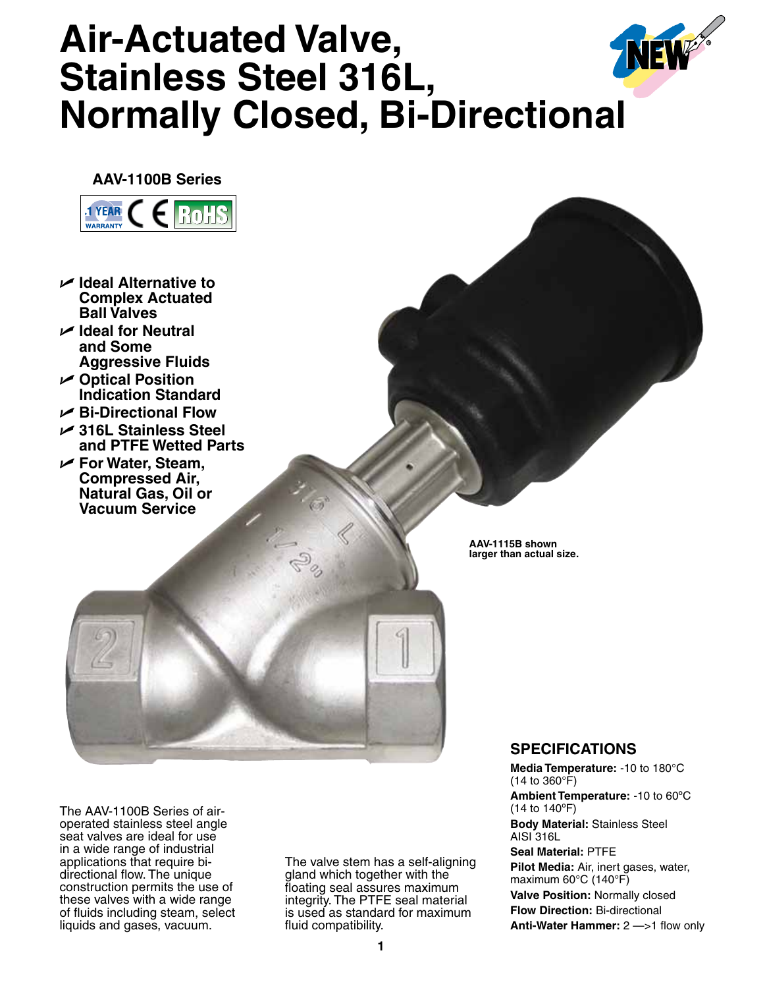## **Air-Actuated Valve, Stainless Steel 316L, Normally Closed, Bi-Directional**

**AAV-1100B Series**



- U **Ideal Alternative to Complex Actuated Ball Valves**
- U **Ideal for Neutral and Some Aggressive Fluids**
- U **Optical Position Indication Standard**
- U **Bi-Directional Flow**
- U **316L Stainless Steel and PTFE Wetted Parts**
- U **For Water, Steam, Compressed Air, Natural Gas, Oil or Vacuum Service**

**AAV-1115B shown larger than actual size.**

The AAV-1100B Series of airoperated stainless steel angle seat valves are ideal for use in a wide range of industrial applications that require bidirectional flow. The unique construction permits the use of these valves with a wide range of fluids including steam, select liquids and gases, vacuum.

The valve stem has a self-aligning gland which together with the floating seal assures maximum integrity. The PTFE seal material is used as standard for maximum fluid compatibility.

## **SPECIFICATIONS**

**Media Temperature:** -10 to 180°C (14 to 360°F) **Ambient Temperature:** -10 to 60ºC (14 to 140ºF) **Body Material:** Stainless Steel AISI 316L **Seal Material:** PTFE **Pilot Media:** Air, inert gases, water, maximum 60°C (140°F) **Valve Position:** Normally closed **Flow Direction:** Bi-directional

**Anti-Water Hammer:** 2 —>1 flow only